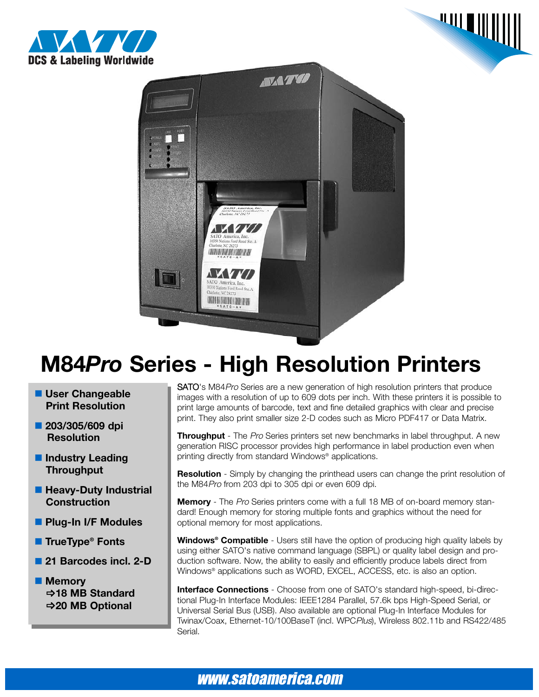





## **M84***Pro* **Series - High Resolution Printers**

- **User Changeable Print Resolution**
- **203/305/609 dpi Resolution**
- $\blacksquare$  Industry Leading **Throughput**
- **Heavy-Duty Industrial Construction**
- **Plug-In I/F Modules**
- **TrueType<sup>®</sup> Fonts**
- 21 Barcodes incl. 2-D
- **Memory**  $⇒$ **18 MB Standard**  $⇒$ **20 MB Optional**

SATO's M84Pro Series are a new generation of high resolution printers that produce images with a resolution of up to 609 dots per inch. With these printers it is possible to print large amounts of barcode, text and fine detailed graphics with clear and precise print. They also print smaller size 2-D codes such as Micro PDF417 or Data Matrix.

**Throughput** - The Pro Series printers set new benchmarks in label throughput. A new generation RISC processor provides high performance in label production even when printing directly from standard Windows® applications.

**Resolution** - Simply by changing the printhead users can change the print resolution of the M84Pro from 203 dpi to 305 dpi or even 609 dpi.

**Memory** - The Pro Series printers come with a full 18 MB of on-board memory standard! Enough memory for storing multiple fonts and graphics without the need for optional memory for most applications.

**Windows® Compatible** - Users still have the option of producing high quality labels by using either SATO's native command language (SBPL) or quality label design and production software. Now, the ability to easily and efficiently produce labels direct from Windows<sup>®</sup> applications such as WORD, EXCEL, ACCESS, etc. is also an option.

**Interface Connections** - Choose from one of SATO's standard high-speed, bi-directional Plug-In Interface Modules: IEEE1284 Parallel, 57.6k bps High-Speed Serial, or Universal Serial Bus (USB). Also available are optional Plug-In Interface Modules for Twinax/Coax, Ethernet-10/100BaseT (incl. WPCPlus), Wireless 802.11b and RS422/485 Serial.

### www.satoamerica.com